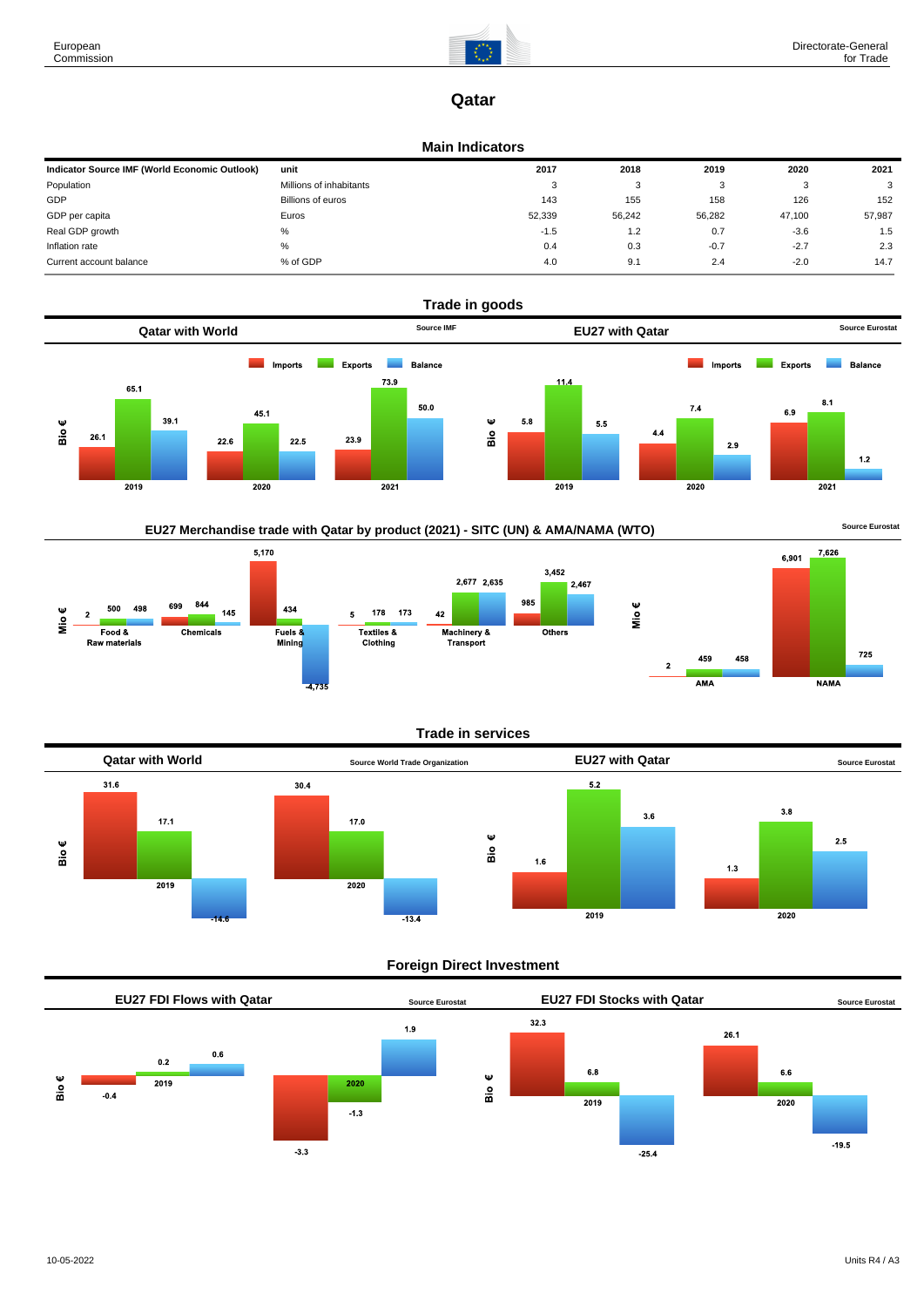

7,626

**NAMA** 

725

6,901

# **Qatar**

### **Main Indicators**

| Indicator Source IMF (World Economic Outlook) | unit                    | 2017   | 2018   | 2019   | 2020   | 2021   |
|-----------------------------------------------|-------------------------|--------|--------|--------|--------|--------|
| Population                                    | Millions of inhabitants | 3      | 3      |        | - 3    | 3      |
| GDP                                           | Billions of euros       | 143    | 155    | 158    | 126    | 152    |
| GDP per capita                                | Euros                   | 52,339 | 56,242 | 56.282 | 47,100 | 57,987 |
| Real GDP growth                               | %                       | $-1.5$ | 1.2    | 0.7    | $-3.6$ | 1.5    |
| Inflation rate                                | %                       | 0.4    | 0.3    | $-0.7$ | $-2.7$ | 2.3    |
| Current account balance                       | % of GDP                | 4.0    | 9.1    | 2.4    | $-2.0$ | 14.7   |







### **Trade in services**



# **Foreign Direct Investment**